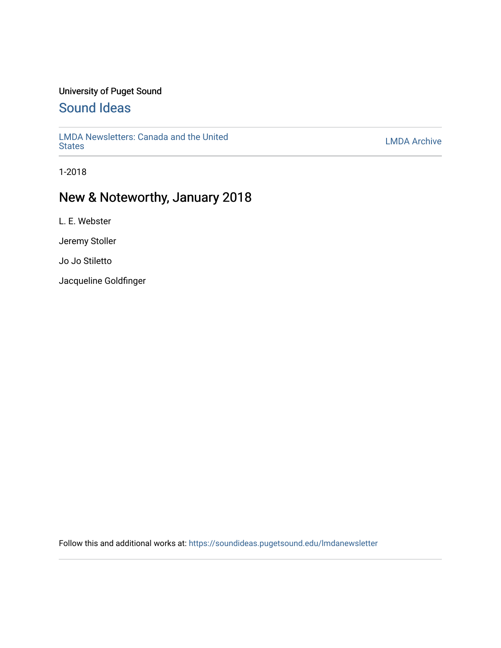#### University of Puget Sound

### [Sound Ideas](https://soundideas.pugetsound.edu/)

[LMDA Newsletters: Canada and the United](https://soundideas.pugetsound.edu/lmdanewsletter) EMDA Newsletters. Carlada and the Officer Contract Contract Contract Contract Contract Contract Contract Contract Contract Contract Contract Contract Contract Contract Contract Contract Contract Contract Contract Contract

1-2018

### New & Noteworthy, January 2018

L. E. Webster

Jeremy Stoller

Jo Jo Stiletto

Jacqueline Goldfinger

Follow this and additional works at: [https://soundideas.pugetsound.edu/lmdanewsletter](https://soundideas.pugetsound.edu/lmdanewsletter?utm_source=soundideas.pugetsound.edu%2Flmdanewsletter%2F64&utm_medium=PDF&utm_campaign=PDFCoverPages)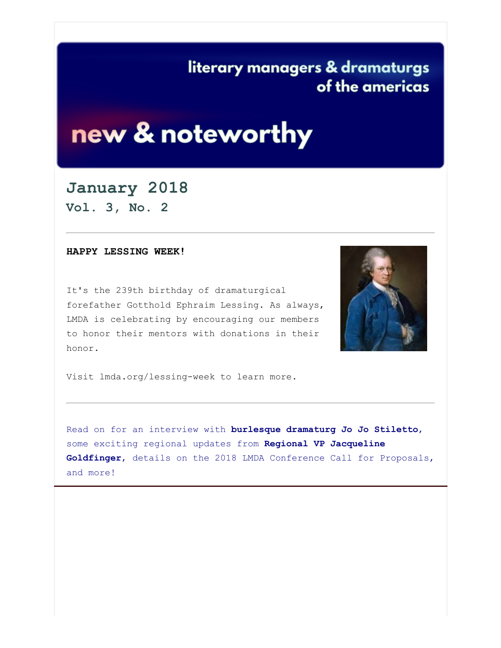# literary managers & dramaturgs of the americas

# new & noteworthy

#### **January 2018**

**Vol. 3, No. 2**

#### **HAPPY LESSING WEEK!**

It's the 239th birthday of dramaturgical forefather Gotthold Ephraim Lessing. As always, LMDA is celebrating by encouraging our members to honor their mentors with donations in their honor.



Visit lmda.org/lessing-week to learn more.

Read on for an interview with **burlesque dramaturg Jo Jo Stiletto**, some exciting regional updates from **Regional VP Jacqueline Goldfinger**, details on the 2018 LMDA Conference Call for Proposals, and more!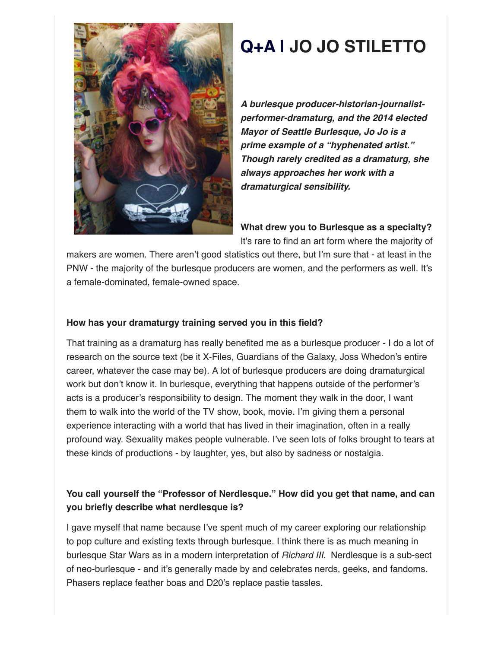

# **Q+A | JO JO STILETTO**

*A burlesque producer-historian-journalistperformer-dramaturg, and the 2014 elected Mayor of Seattle Burlesque, Jo Jo is a prime example of a "hyphenated artist." Though rarely credited as a dramaturg, she always approaches her work with a dramaturgical sensibility.*

**What drew you to Burlesque as a specialty?**

It's rare to find an art form where the majority of

makers are women. There aren't good statistics out there, but I'm sure that - at least in the PNW - the majority of the burlesque producers are women, and the performers as well. It's a female-dominated, female-owned space.

#### **How has your dramaturgy training served you in this field?**

That training as a dramaturg has really benefited me as a burlesque producer - I do a lot of research on the source text (be it X-Files, Guardians of the Galaxy, Joss Whedon's entire career, whatever the case may be). A lot of burlesque producers are doing dramaturgical work but don't know it. In burlesque, everything that happens outside of the performer's acts is a producer's responsibility to design. The moment they walk in the door, I want them to walk into the world of the TV show, book, movie. I'm giving them a personal experience interacting with a world that has lived in their imagination, often in a really profound way. Sexuality makes people vulnerable. I've seen lots of folks brought to tears at these kinds of productions - by laughter, yes, but also by sadness or nostalgia.

#### **You call yourself the "Professor of Nerdlesque." How did you get that name, and can you briefly describe what nerdlesque is?**

I gave myself that name because I've spent much of my career exploring our relationship to pop culture and existing texts through burlesque. I think there is as much meaning in burlesque Star Wars as in a modern interpretation of *Richard III*. Nerdlesque is a sub-sect of neo-burlesque - and it's generally made by and celebrates nerds, geeks, and fandoms. Phasers replace feather boas and D20's replace pastie tassles.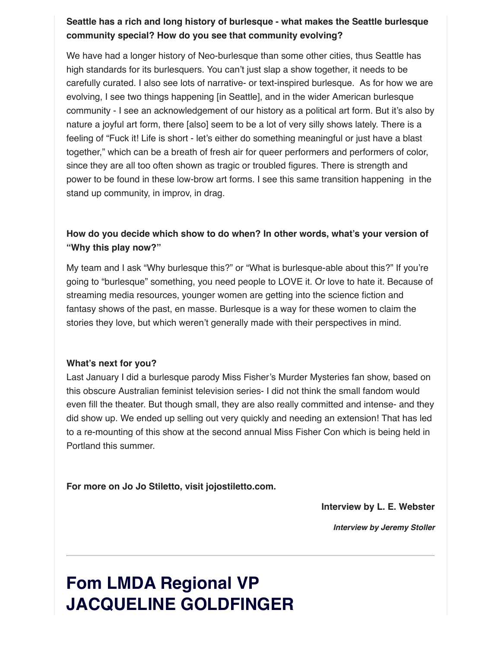#### **Seattle has a rich and long history of burlesque - what makes the Seattle burlesque community special? How do you see that community evolving?**

We have had a longer history of Neo-burlesque than some other cities, thus Seattle has high standards for its burlesquers. You can't just slap a show together, it needs to be carefully curated. I also see lots of narrative- or text-inspired burlesque. As for how we are evolving, I see two things happening [in Seattle], and in the wider American burlesque community - I see an acknowledgement of our history as a political art form. But it's also by nature a joyful art form, there [also] seem to be a lot of very silly shows lately. There is a feeling of "Fuck it! Life is short - let's either do something meaningful or just have a blast together," which can be a breath of fresh air for queer performers and performers of color, since they are all too often shown as tragic or troubled figures. There is strength and power to be found in these low-brow art forms. I see this same transition happening in the stand up community, in improv, in drag.

#### **How do you decide which show to do when? In other words, what's your version of "Why this play now?"**

My team and I ask "Why burlesque this?" or "What is burlesque-able about this?" If you're going to "burlesque" something, you need people to LOVE it. Or love to hate it. Because of streaming media resources, younger women are getting into the science fiction and fantasy shows of the past, en masse. Burlesque is a way for these women to claim the stories they love, but which weren't generally made with their perspectives in mind.

#### **What's next for you?**

Last January I did a burlesque parody Miss Fisher's Murder Mysteries fan show, based on this obscure Australian feminist television series- I did not think the small fandom would even fill the theater. But though small, they are also really committed and intense- and they did show up. We ended up selling out very quickly and needing an extension! That has led to a re-mounting of this show at the second annual Miss Fisher Con which is being held in Portland this summer.

**For more on Jo Jo Stiletto, visit jojostiletto.com.**

**Interview by L. E. Webster**

*Interview by Jeremy Stoller*

# **Fom LMDA Regional VP JACQUELINE GOLDFINGER**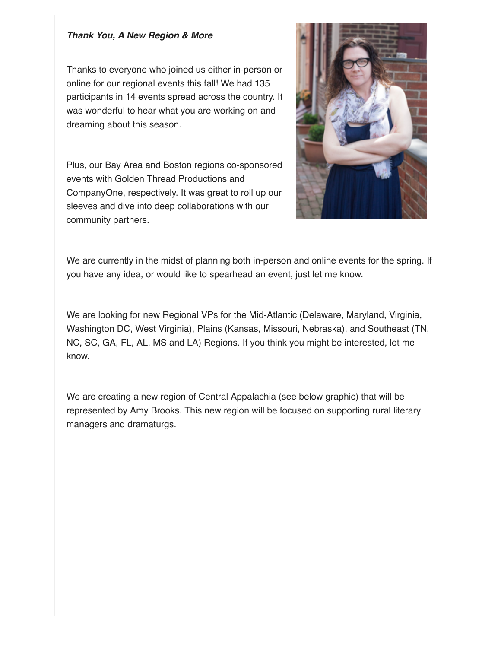#### *Thank You, A New Region & More*

Thanks to everyone who joined us either in-person or online for our regional events this fall! We had 135 participants in 14 events spread across the country. It was wonderful to hear what you are working on and dreaming about this season.

Plus, our Bay Area and Boston regions co-sponsored events with Golden Thread Productions and CompanyOne, respectively. It was great to roll up our sleeves and dive into deep collaborations with our community partners.



We are currently in the midst of planning both in-person and online events for the spring. If you have any idea, or would like to spearhead an event, just let me know.

We are looking for new Regional VPs for the Mid-Atlantic (Delaware, Maryland, Virginia, Washington DC, West Virginia), Plains (Kansas, Missouri, Nebraska), and Southeast (TN, NC, SC, GA, FL, AL, MS and LA) Regions. If you think you might be interested, let me know.

We are creating a new region of Central Appalachia (see below graphic) that will be represented by Amy Brooks. This new region will be focused on supporting rural literary managers and dramaturgs.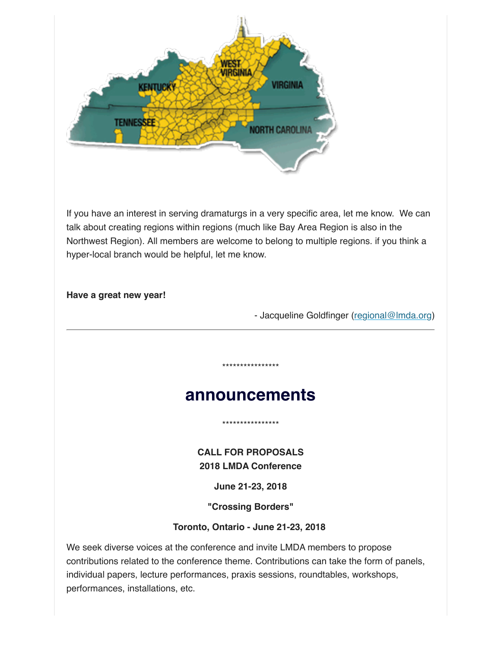

If you have an interest in serving dramaturgs in a very specific area, let me know. We can talk about creating regions within regions (much like Bay Area Region is also in the Northwest Region). All members are welcome to belong to multiple regions. if you think a hyper-local branch would be helpful, let me know.

#### **Have a great new year!**

- Jacqueline Goldfinger [\(regional@lmda.org\)](mailto:regional@lmda.org)

## **announcements**

\*\*\*\*\*\*\*\*\*\*\*\*\*\*\*\*

\*\*\*\*\*\*\*\*\*\*\*\*\*\*\*\*

**CALL FOR PROPOSALS 2018 LMDA Conference**

**June 21-23, 2018**

**"Crossing Borders"**

#### **Toronto, Ontario - June 21-23, 2018**

We seek diverse voices at the conference and invite LMDA members to propose contributions related to the conference theme. Contributions can take the form of panels, individual papers, lecture performances, praxis sessions, roundtables, workshops, performances, installations, etc.